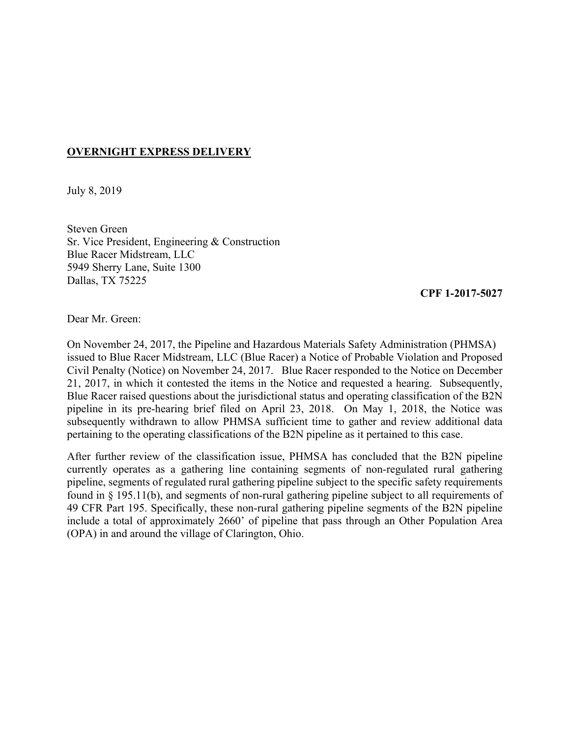## **OVERNIGHT EXPRESS DELIVERY**

July 8, 2019

Steven Green Sr. Vice President, Engineering & Construction Blue Racer Midstream, LLC 5949 Sherry Lane, Suite 1300 Dallas, TX 75225

## **CPF 1-2017-5027**

Dear Mr. Green:

 21, 2017, in which it contested the items in the Notice and requested a hearing. Subsequently, subsequently withdrawn to allow PHMSA sufficient time to gather and review additional data On November 24, 2017, the Pipeline and Hazardous Materials Safety Administration (PHMSA) issued to Blue Racer Midstream, LLC (Blue Racer) a Notice of Probable Violation and Proposed Civil Penalty (Notice) on November 24, 2017. Blue Racer responded to the Notice on December Blue Racer raised questions about the jurisdictional status and operating classification of the B2N pipeline in its pre-hearing brief filed on April 23, 2018. On May 1, 2018, the Notice was pertaining to the operating classifications of the B2N pipeline as it pertained to this case.

 After further review of the classification issue, PHMSA has concluded that the B2N pipeline currently operates as a gathering line containing segments of non-regulated rural gathering pipeline, segments of regulated rural gathering pipeline subject to the specific safety requirements found in § 195.11(b), and segments of non-rural gathering pipeline subject to all requirements of 49 CFR Part 195. Specifically, these non-rural gathering pipeline segments of the B2N pipeline include a total of approximately 2660' of pipeline that pass through an Other Population Area (OPA) in and around the village of Clarington, Ohio.